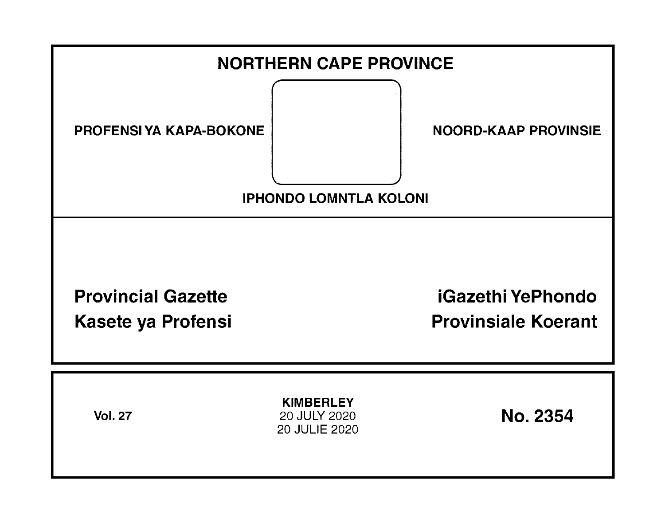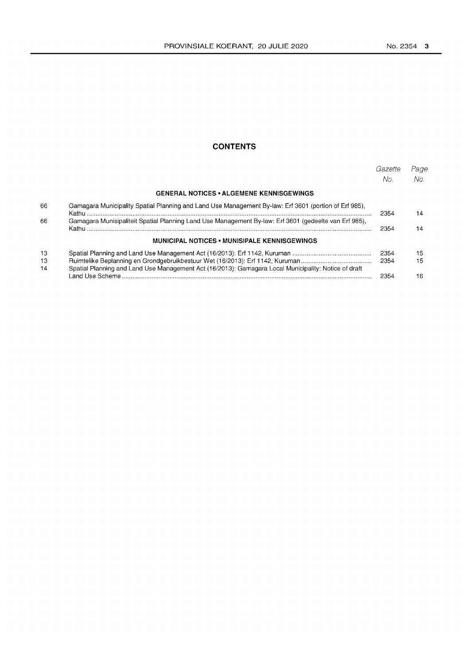# **CONTENTS**

|                |                                                                                                       | Gazette<br>No. | Page<br>No. |
|----------------|-------------------------------------------------------------------------------------------------------|----------------|-------------|
|                | <b>GENERAL NOTICES • ALGEMENE KENNISGEWINGS</b>                                                       |                |             |
| 66             | Gamagara Municipality Spatial Planning and Land Use Management By-law: Erf 3601 (portion of Erf 985), | 2354           | 14          |
| 66             | Gamagara Munisipaliteit Spatial Planning Land Use Management By-law: Erf 3601 (gedeelte van Erf 985), | 2354           | 14          |
|                | <b>MUNICIPAL NOTICES • MUNISIPALE KENNISGEWINGS</b>                                                   |                |             |
| 13<br>13<br>14 | Spatial Planning and Land Use Management Act (16/2013): Gamagara Local Municipality: Notice of draft  | 2354<br>2354   | 15<br>15    |
|                |                                                                                                       | 2354           | 16          |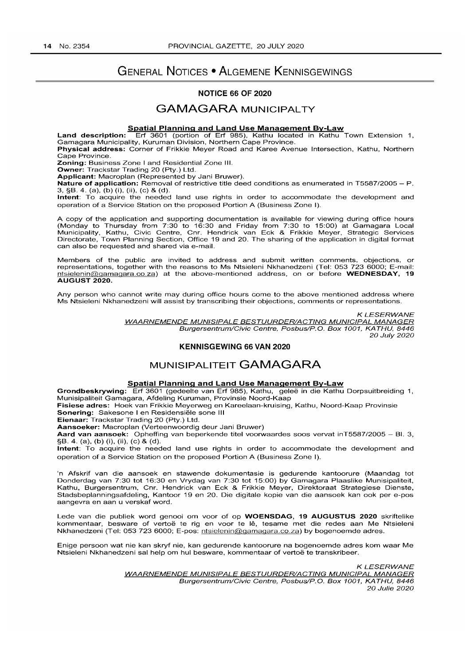# GENERAL NOTICES • ALGEMENE KENNISGEWINGS

# NOTICE 66 OF 2020

# GAMAGARA MUNICIPAL TY

#### Spatial Planning and Land Use Management By-Law

Land description: Erf 3601 (portion of Erf 985), Kathu located in Kathu Town Extension 1, Gamagara Municipality, Kuruman Division, Northern Cape Province.

Physical address: Corner of Frikkie Meyer Road and Karee Avenue Intersection, Kathu, Northern Cape Province.

Zoning: Business Zone I and Residential Zone III.

Owner: Trackstar Trading 20 (Pty.) Ltd. Applicant: Macroplan (Represented by Jani Bruwer).

Nature of application: Removal of restrictive title deed conditions as enumerated in T5587/2005 - P. 3, §B. 4. (a), (b) (i), (ii), (c) & (d).

Intent: To acquire the needed land use rights in order to accommodate the development and operation of a Service Station on the proposed Portion A (Business Zone I).

A copy of the application and supporting documentation is available for viewing during office hours (Monday to Thursday from 7:30 to 16:30 and Friday from 7:30 to 15:00) at Gamagara Local Municipality, Kathu, Civic Centre, Cnr. Hendrick van Eck & Frikkie Meyer, Strategic Services Directorate, Town Planning Section, Office 19 and 20. The sharing of the application in digital format can also be requested and shared via e-mail.

Members of the public are invited to address and submit written comments, objections, or representations, together with the reasons to Ms Ntsieleni Nkhanedzeni (Tel: 053 723 6000; E-mail: ntsielenin@gamagara.co.za) at the above-mentioned address, on or before WEDNESDAY, 19 AUGUST 2020.

Any person who cannot write may during office hours come to the above mentioned address where Ms Ntsieleni Nkhanedzeni will assist by transcribing their objections, comments or representations.

> KLESERWANE WAARNEMENDE MUNISIPALE BESTUURDER/ACTING MUNICIPAL MANAGER Burgersentrum/Civic Centre, Posbus/P.O. Box 1001, KATHU, 8446 20 July 2020

#### KENNISGEWING 66 VAN 2020

# MUNISIPALITEIT GAMAGARA

### Spatial Planning and Land Use Management By-Law

Grondbeskrywing: Erf 3601 (gedeelte van Erf 985), Kathu, geleë in die Kathu Dorpsuitbreiding 1, Munisipaliteit Gamagara, Afdeling Kuruman, Provinsie Noord-Kaap

Fisiese adres: Hoek van Frikkie Meyerweg en Kareelaan-kruising, Kathu, Noord-Kaap Provinsie Sonering: Sakesone I en Residensiële sone III

Eienaar: Trackstar Trading 20 (pty.) Ltd.

Aansoeker: Macroplan (Verteenwoordig deur Jani Bruwer)

Aard van aansoek: Opheffing van beperkende titel voorwaardes soos vervat inT5587/2005 - Bl. 3, §B. 4. (a), (b) (i), (ii), (c) & (d).

Intent: To acquire the needed land use rights in order to accommodate the development and operation of a Service Station on the proposed Portion A (Business Zone I).

'n Afskrif van die aansoek en stawende dokumentasie is gedurende kantoorure (Maandag tot Donderdag van 7:30 tot 16:30 en Vrydag van 7:30 tot 15:00) by Gamagara Plaaslike Munisipaliteit, Kathu, Burgersentrum, Cnr. Hendrick van Eck & Frikkie Meyer, Direktoraat Strategiese Dienste, Stadsbeplanningsafdeling, Kantoor 19 en 20. Die digitale kopie van die aansoek kan ook per e-pos aangevra en aan u verskaf word.

Lede van die publiek word genooi om voor of op WOENSDAG, 19 AUGUSTUS 2020 skriftelike kommentaar, besware of vertoe te rig en voor te Ie, tesame met die redes aan Me Ntsieleni Nkhanedzeni (Tel: 053 723 6000; E-pos: ntsielenin@gamagara.co.za) by bogenoemde adres.

Enige persoon wat nie kan skryf nie, kan gedurende kantoorure na bogenoemde adres kom waar Me Ntsieleni Nkhanedzeni sal help om hul besware, kommentaar of vertoë te transkribeer.

> KLESERWANE WAARNEMENDE MUNISIPALE BESTUURDER/ACTING MUNICIPAL MANAGER Burgersentrum/Civic Centre, Posbus/P.O. Box 1001, KATHU, 8446 20 Julie 2020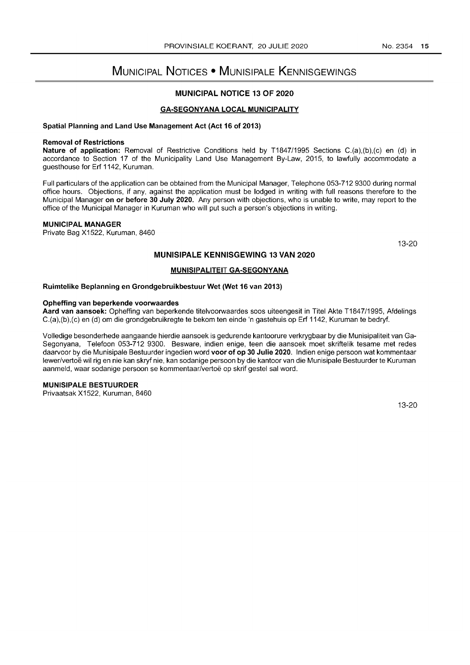# MUNICIPAL NOTICES • MUNISIPALE KENNISGEWINGS

# MUNICIPAL NOTICE 13 OF 2020

### GA-SEGONYANA LOCAL MUNICIPALITY

#### Spatial Planning and Land Use Management Act (Act 16 of 2013)

#### Removal of Restrictions

Nature of application: Removal of Restrictive Conditions held by T1847/1995 Sections C.(a),(b),(c) en (d) in accordance to Section 17 of the Municipality Land Use Management By-Law, 2015, to lawfully accommodate a guesthouse for Erf 1142, Kuruman.

Full particulars of the application can be obtained from the Municipal Manager, Telephone 053-712 9300 during normal office hours. Objections, if any, against the application must be lodged in writing with full reasons therefore to the Municipal Manager on or before 30 July 2020. Any person with objections, who is unable to write, may report to the office of the Municipal Manager in Kuruman who will put such a person's objections in writing.

## MUNICIPAL MANAGER

Private Bag X1522, Kuruman, 8460

13-20

## MUNISIPALE KENNISGEWING 13 VAN 2020

#### MUNISIPALITEIT GA-SEGONYANA

#### Ruimtelike Beplanning en Grondgebruikbestuur Wet (Wet 16 van 2013)

#### Opheffing van beperkende voorwaardes

Aard van aansoek: Opheffing van beperkende titelvoorwaardes soos uiteengesit in Titel Akte T1847/1995, Afdelings C.(a),(b),(c) en (d) om die grondgebruikregte te bekom ten einde 'n gastehuis op Erf 1142, Kuruman te bedryf.

Volledige besonderhede aangaande hierdie aansoek is gedurende kantoorure verkrygbaar by die Munisipaliteit van Ga-Segonyana, Telefoon 053-712 9300. Besware, indien enige, teen die aansoek moet skriftelik tesame met redes daarvoor by die Munisipale Bestuurder ingedien word voor of op 30 Julie 2020. Indien enige persoon wat kommentaar lewer/vertoë wil rig en nie kan skryf nie, kan sodanige persoon by die kantoor van die Munisipale Bestuurder te Kuruman aanmeld, waar sodanige persoon se kommentaar/vertoe op skrif gestel sal word.

# MUNISIPALE BESTUURDER

Privaatsak X1522, Kuruman, 8460

13-20